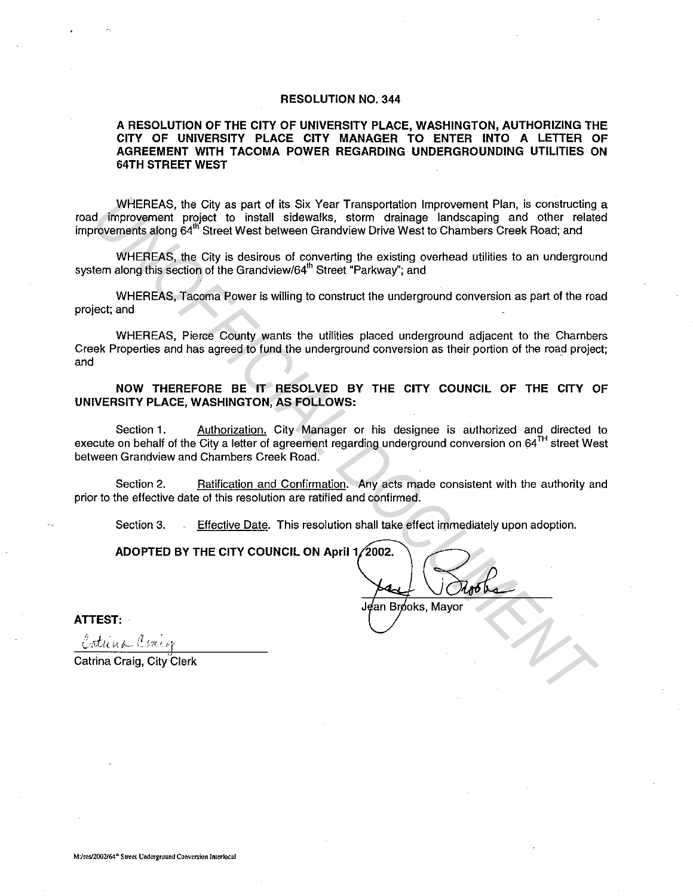#### **RESOLUTION NO. 344**

#### **A RESOLUTION OF THE CITY OF UNIVERSITY PLACE, WASHINGTON, AUTHORIZING THE CITY OF UNIVERSITY PLACE CITY MANAGER TO ENTER INTO A LETTER OF AGREEMENT WITH TACOMA POWER REGARDING UNDERGROUNDING UTILITIES ON 64TH STREET WEST**

WHEREAS, the City as part of its Six Year Transportation Improvement Plan, is constructing a road improvement project to install sidewalks, storm drainage landscaping and other related improvements along 64<sup>th</sup> Street West between Grandview Drive West to Chambers Creek Road; and

WHEREAS, the City is desirous of converting the existing overhead utilities to an underground system along this section of the Grandview/64<sup>th</sup> Street "Parkway"; and

WHEREAS, Tacoma Power is willing to construct the underground conversion as part of the road project; and

WHEREAS, Pierce County wants the utilities placed underground adjacent to the Chambers Creek Properties and has agreed to fund the underground conversion as their portion of the road project; and

**NOW THEREFORE BE IT RESOLVED BY THE CITY COUNCIL OF THE CITY OF UNIVERSITY PLACE, WASHINGTON, AS FOLLOWS:** 

Section 1. Authorization. City Manager or his designee is authorized and directed to execute on behalf of the City a letter of agreement regarding underground conversion on 64<sup>TH</sup> street West between Grandview and Chambers Creek Road. WHEREAS, the City as part of the Six Year Transportation improvement Plan, is constructing<br>d. improvement project to install sidewalks, storm drainage landscaping and other relation<br>information and Six Year Transportation

Section 2. Ratification and Confirmation. Any acts made consistent with the authority and prior to the effective date of this resolution are ratified and confirmed.

Section 3. Effective Date. This resolution shall take effect immediately upon adoption.

**ADOPTED BY THE CITY COUNCIL ON April 1 2002.** 

Jean Bróoks. Mavor

**ATTEST:** 

Catrina Craig, City Clerk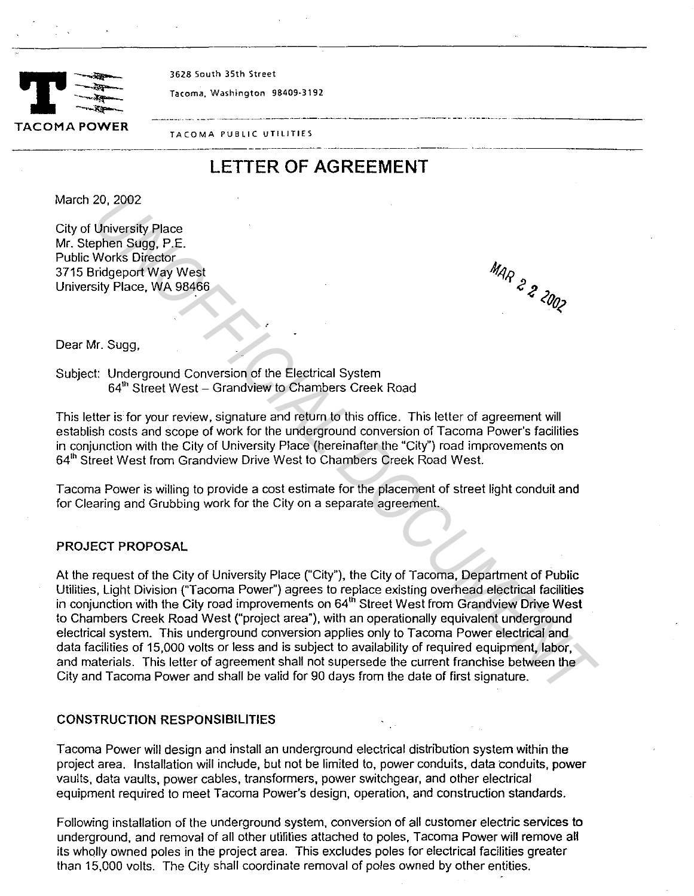

**3628 South 35th Street** 

-----~ **Tacoma, Washington 98409·3192** 

**TACOMA PUBLIC UTILITIES**  -----·---·-··---··------------ --·-·------------- ·-··-----·--------

# **LETTER OF AGREEMENT**

March 20, 2002

City of University Place Mr. Stephen Sugg, P.E. Public Works Director 3715 Bridgeport Way West University Place, WA 98466

Dear Mr. Sugg,

Subject: Underground Conversion of the Electrical System 64<sup>th</sup> Street West – Grandview to Chambers Creek Road

This letter is for your review, signature and return to this office. This letter of agreement will establish costs and scope of work for the underground conversion of Tacoma Power's facilities in conjunction with the City of University Place (hereinafter the "City") road improvements on 64<sup>th</sup> Street West from Grandview Drive West to Chambers Creek Road West.

Tacoma Power is willing to provide a cost estimate for the placement of street light conduit and for Clearing and Grubbing work for the City on a separate agreement.

## PROJECT PROPOSAL

At the request of the City of University Place ("City"), the City of Tacoma, Department of Public Utilities, Light Division ("Tacoma Power") agrees to replace existing overhead electrical facilities in conjunction with the City road improvements on 64<sup>th</sup> Street West from Grandview Drive West to Chambers Creek Road West ("project area"), with an operationally equivalent underground electrical system. This underground conversion applies only to Tacoma Power electrical and data facilities of 15,000 volts or less and is subject to availability of required equipment, labor, and materials. This letter of agreement shall not supersede the current franchise between the City and Tacoma Power and shall be valid for 90 days from the date of first signature. 20, 2002<br>
University Place<br>
University Place<br>
whorks Director<br>
whorks Director<br>
whorks Director<br>
Works Director<br>
It's Works Director<br>
It's Works University Place<br>
It's Higher Conversion of the Electrical System<br>
64<sup>3</sup> Stre

## CONSTRUCTION RESPONSIBILITIES

Tacoma Power will design and install an underground electrical distribution system within the project area. Installation will include, but not be limited to, power conduits, data conduits, power vaults, data vaults, power cables, transformers, power switchgear, and other electrical equipment required to meet Tacoma Power's design, operation, and construction standards.

Following installation of the underground system, conversion of all customer electric services to underground, and removal of all other utilities attached to poles, Tacoma Power will remove all its wholly owned poles in the project area. This excludes poles for electrical facilities greater than 15,000 volts. The City shall coordinate removal of poles owned by other entities.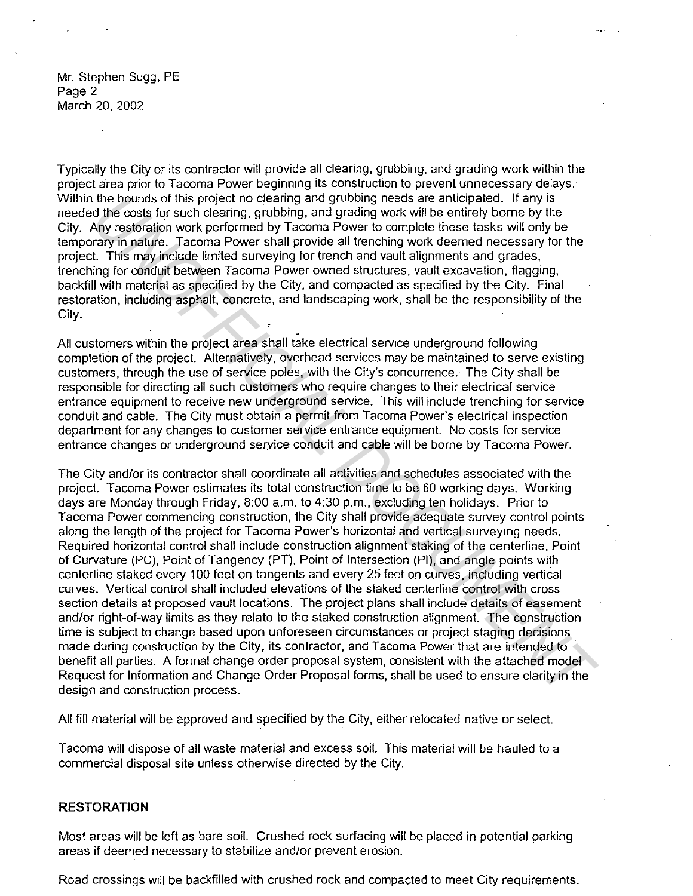Mr. Stephen Sugg, PE Page 2 March 20, 2002

Typically the City or its contractor will provide all clearing, grubbing, and grading work within the project area prior to Tacoma Power beginning its construction to prevent unnecessary delays. Within the bounds of this project no clearing and grubbing needs are anticipated. If any is needed the costs for such clearing, grubbing, and grading work will be entirely borne by the City. Any restoration work performed by Tacoma Power to complete these tasks will only be temporary in nature. Tacoma Power shall provide all trenching work deemed necessary for the project. This may include limited surveying for trench and vault alignments and grades, trenching for conduit between Tacoma Power owned structures. vault excavation, flagging, backfill with material as specified by the City, and compacted as specified by the City. Final restoration, including asphalt, concrete, and landscaping work, shall be the responsibility of the City.

All customers within the project area shall take electrical service underground following completion of the project. Alternatively, overhead services may be maintained to serve existing customers, through the use of service poles, with the City's concurrence. The City shall be responsible for directing all such customers who require changes to their electrical service entrance equipment to receive new underground service. This will include trenching for service conduit and cable. The City must obtain a permit from Tacoma Power's electrical inspection department for any changes to customer service entrance equipment. No costs for service entrance changes or underground service conduit and cable will be borne by Tacoma Power.

The City and/or its contractor shall coordinate all activities and schedules associated with the project. Tacoma Power estimates its total construction time to be 60 working days. Working days are Monday through Friday, 8:00 a.m. to 4:30 p.m., excluding ten holidays. Prior to Tacoma Power commencing construction, the City shall provide adequate survey control points along the length of the project for Tacoma Power's horizontal and vertical surveying needs. Required horizontal control shall include construction alignment staking of the centerline. Point of Curvature (PC), Point of Tangency (PT). Point of Intersection (Pl), and angle points with centerline staked every 100 feet on tangents and every 25 feet on curves, including vertical curves. Vertical control shall included elevations of the staked centerline control with cross section details at proposed vault locations. The project plans shall include details of easement and/or right-of-way limits as they relate to the staked construction alignment. The construction time is subject to change based upon unforeseen circumstances or project staging decisions made during construction by the City, its contractor, and Tacoma Power that are intended to benefit all parties. A formal change order proposal system, consistent with the attached model Request for Information and Change Order Proposal forms, shall be used to ensure clarity in the design and construction process. the hounds of this project no clearing and grubbing medds are anticipated. If any is<br> *UNIC to the costs for such clearing, quabbing, and grading work will be entirely borne by the<br>
Any restoration work performed by Tacoma* 

All fill material will be approved and specified by the City, either relocated native or select.

Tacoma will dispose of all waste material and excess soil. This material will be hauled to a commercial disposal site unless otherwise directed by the City.

#### **RESTORATION**

Most areas will be left as bare soil. Crushed rock surfacing will be placed in potential parking areas if deemed necessary to stabilize and/or prevent erosion.

Road crossings will be backfilled with crushed rock and compacted to meet City requirements.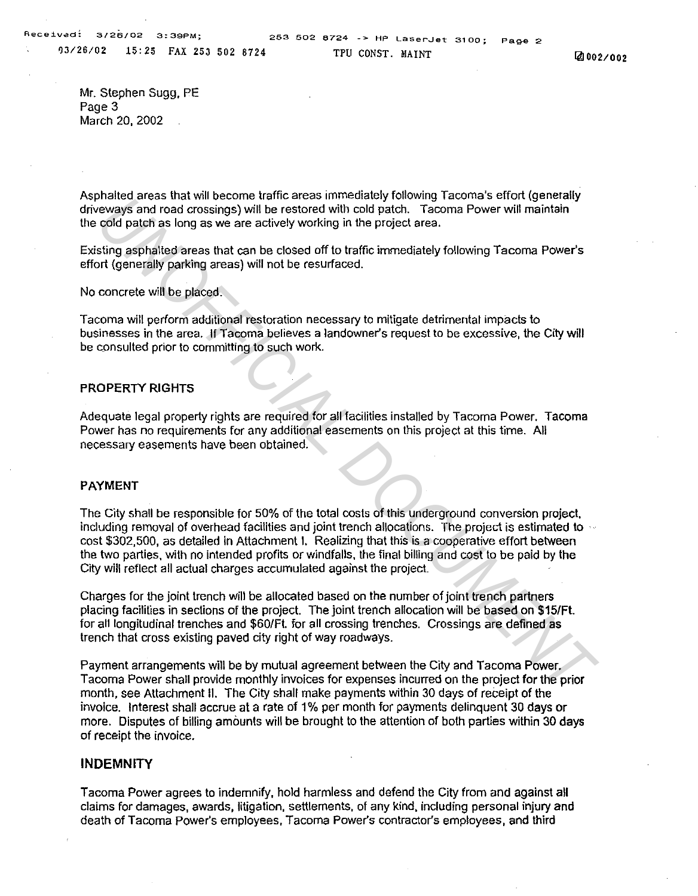QJ/26/02 15:25 FAX 253 502 8724

Mr. Stephen Sugg, PE Page 3 March 20, 2002

Asphalted areas that will become traffic areas immediately following Tacoma's effort (generally driveways and road crossings) will be restored with cold patch. Tacoma Power will maintain the cold patch as long as we are actively working in the project area.

Existing asphalted areas that can be closed off to traffic immediately following Tacoma Power's effort (generally parking areas) will not be resurfaced.

No concrete will be placed.

Tacoma will perform additional restoration necessary to mitigate detrimental impacts to businesses in the area. If Tacoma believes a landowner's request to be excessive, the City will be consulted prior to committing to such work.

#### PROPERTY RIGHTS

Adequate legal property rights are required for all facilities installed by Tacoma Power. Tacoma Power has no requirements for any additional easements on this project at this time. All necessary easements have been obtained.

#### PAYMENT

The City shall be responsible for 50% of the total costs of this underground conversion project. including removal of overhead facilities and joint trench allocations. The project is estimated to  $\sim$ cost \$302,500, as detailed in Attachment I. Realizing that this is a cooperative effort between the two parties. with no intended profits or windfalls. the final billing and cost to be paid by the City will reflect all actual charges accumulated against the project. Diated areas that will be used to the season line that are similated and the season that are a state in the stock of patch are evolved patch as long as we are actively working in the project area.<br>
In order patch as long a

Charges for the joint trench will be allocated based on the number of joint trench partners placing facilities in sections of the project. The joint trench allocation will be based on \$15/Ft. for all longitudinal trenches and \$60/Ft. for all crossing trenches. Crossings are defined as trench that cross existing paved city right of way roadways.

Payment arrangements will be by mutual agreement between the City and Tacoma Power. Tacoma Power shall provide monthly invoices for expenses incurred on the project for the prior month, see Attachment II. The City shall make payments within 30 days of receipt of the invoice. Interest shall accrue at a rate of 1% per month for payments delinquent 30 days or more. Disputes of billing amounts will be brought to the attention of both parties within 30 days of receipt the invoice.

#### **INDEMNITY**

Tacoma Power agrees to indemnify, hold harmless and defend the City from and against all claims for damages, awards, litigation, settlements, of any kind, including personal injury and death of Tacoma Power's employees, Tacoma Power's contractor's employees, and third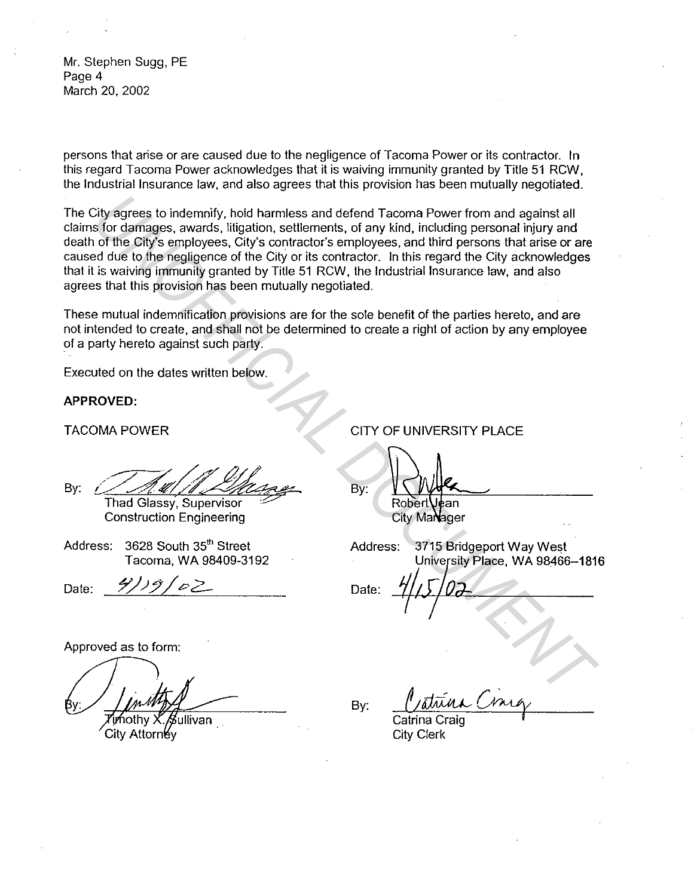Mr. Stephen Sugg, PE Page 4 March 20, 2002

persons that arise or are caused due to the negligence of Tacoma Power or its contractor. In this regard Tacoma Power acknowledges that it is waiving immunity granted by Title 51 RCW, the Industrial Insurance law, and also agrees that this provision has been mutually negotiated.

The City agrees to indemnify, hold harmless and defend Tacoma Power from and against all claims for damages, awards, litigation, settlements, of any kind, including personal injury and death of the City's employees, City's contractor's employees, and third persons that arise or are caused due to the negligence of the City or its contractor. In this regard the City acknowledges that it is waiving immunity granted by Title 51 RCW, the Industrial Insurance law, and also agrees that this provision has been mutually negotiated. Construction Engineering<br>
The State of damages, awards, littigation, settlements, of any kind, including personal injury and<br>
In or the Gity's employees, City's contractor's employees, and third persons that arise or are<br>

These mutual indemnification provisions are for the sole benefit of the parties hereto, and are not intended to create, and shall not be determined to create a right of action by any employee of a party hereto against such party.

Executed on the dates written below.

#### **APPROVED:**

TACOMA POWER

By:  $\frac{M}{I}$ 

Construction Engineering

Address: 3628 South 35th Street Tacoma, WA 98409-3192

Date:

Approved as to form:

∕≸ullivan

City Attorney

CITY OF UNIVERSITY PLACE

By:

Address: 3715 Bridgeport Way West University Place, WA 98466-1816

 $\frac{4}{5}$  $\frac{7}{2}$ 

By:

Catrina Craig **City Clerk**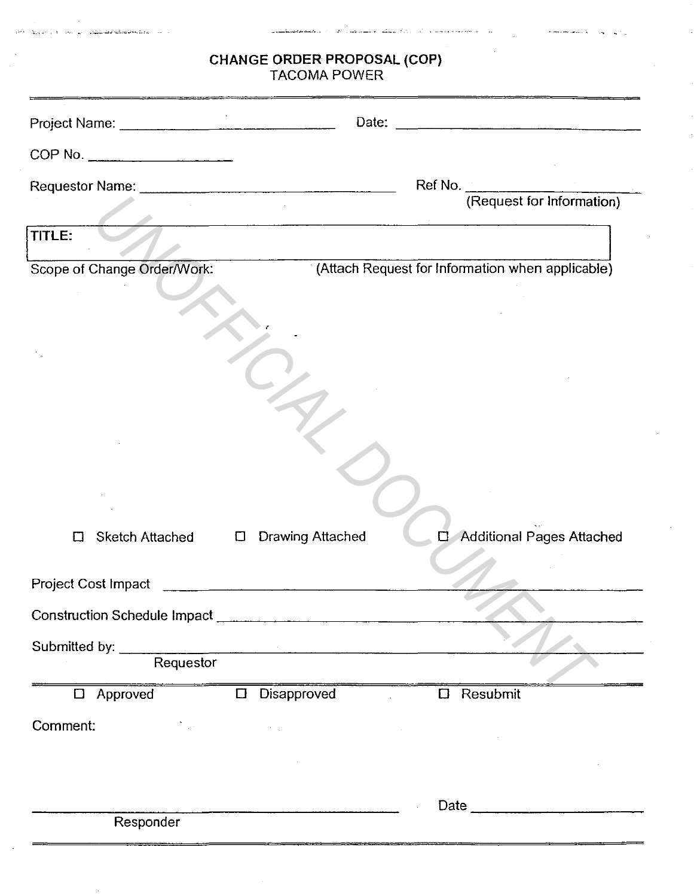| <b>CHANGE ORDER PROPOSAL (COP)</b><br><b>TACOMA POWER</b>                                                                                                                                                                                                                                                                  |                                                  |  |  |  |
|----------------------------------------------------------------------------------------------------------------------------------------------------------------------------------------------------------------------------------------------------------------------------------------------------------------------------|--------------------------------------------------|--|--|--|
|                                                                                                                                                                                                                                                                                                                            |                                                  |  |  |  |
| COP No.                                                                                                                                                                                                                                                                                                                    |                                                  |  |  |  |
|                                                                                                                                                                                                                                                                                                                            | Ref No.                                          |  |  |  |
|                                                                                                                                                                                                                                                                                                                            | (Request for Information)                        |  |  |  |
| TITLE:                                                                                                                                                                                                                                                                                                                     |                                                  |  |  |  |
| Scope of Change Order/Work:                                                                                                                                                                                                                                                                                                | (Attach Request for Information when applicable) |  |  |  |
|                                                                                                                                                                                                                                                                                                                            |                                                  |  |  |  |
|                                                                                                                                                                                                                                                                                                                            |                                                  |  |  |  |
|                                                                                                                                                                                                                                                                                                                            |                                                  |  |  |  |
|                                                                                                                                                                                                                                                                                                                            |                                                  |  |  |  |
|                                                                                                                                                                                                                                                                                                                            |                                                  |  |  |  |
|                                                                                                                                                                                                                                                                                                                            |                                                  |  |  |  |
|                                                                                                                                                                                                                                                                                                                            |                                                  |  |  |  |
|                                                                                                                                                                                                                                                                                                                            |                                                  |  |  |  |
| Ц                                                                                                                                                                                                                                                                                                                          | $\Box$ Additional Pages Attached                 |  |  |  |
|                                                                                                                                                                                                                                                                                                                            |                                                  |  |  |  |
|                                                                                                                                                                                                                                                                                                                            |                                                  |  |  |  |
|                                                                                                                                                                                                                                                                                                                            |                                                  |  |  |  |
| Submitted by: Requestor                                                                                                                                                                                                                                                                                                    |                                                  |  |  |  |
| $\Box$ Approved                                                                                                                                                                                                                                                                                                            | $\Box$ Disapproved<br>$\square$ Resubmit         |  |  |  |
| Comment:<br>$\label{eq:2.1} \mathcal{L}(\mathcal{L}^{\mathcal{L}}_{\mathcal{L}}(\mathcal{L}^{\mathcal{L}}_{\mathcal{L}})) = \mathcal{L}(\mathcal{L}^{\mathcal{L}}_{\mathcal{L}}(\mathcal{L}^{\mathcal{L}}_{\mathcal{L}})) = \mathcal{L}(\mathcal{L}^{\mathcal{L}}_{\mathcal{L}}(\mathcal{L}^{\mathcal{L}}_{\mathcal{L}}))$ |                                                  |  |  |  |
|                                                                                                                                                                                                                                                                                                                            |                                                  |  |  |  |
|                                                                                                                                                                                                                                                                                                                            |                                                  |  |  |  |
|                                                                                                                                                                                                                                                                                                                            | Date $\qquad \qquad$                             |  |  |  |
| Responder                                                                                                                                                                                                                                                                                                                  |                                                  |  |  |  |

 $\Delta\alpha$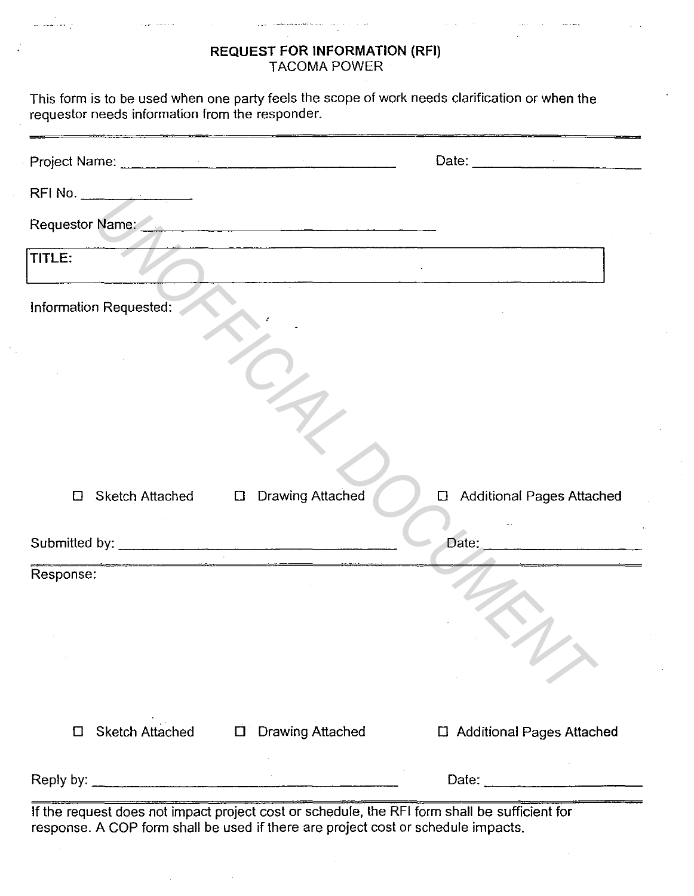# **REQUEST FOR INFORMATION (RFI)**  TACOMA POWER

 $\sim$  . . . . .

والعقابيسين وروا

| requestor needs information from the responder. |                                   | This form is to be used when one party feels the scope of work needs clarification or when the |
|-------------------------------------------------|-----------------------------------|------------------------------------------------------------------------------------------------|
| Project Name: <u>December 2008</u>              |                                   |                                                                                                |
|                                                 |                                   |                                                                                                |
| Requestor Name:                                 |                                   |                                                                                                |
| TITLE:                                          |                                   |                                                                                                |
| Information Requested:                          |                                   |                                                                                                |
|                                                 |                                   |                                                                                                |
|                                                 |                                   |                                                                                                |
|                                                 |                                   |                                                                                                |
| Sketch Attached<br>□                            | <b>Drawing Attached</b><br>$\Box$ | <b>Additional Pages Attached</b><br>$\Box$                                                     |
|                                                 |                                   | Date:                                                                                          |
| Response:                                       |                                   |                                                                                                |
|                                                 |                                   |                                                                                                |
|                                                 |                                   |                                                                                                |
|                                                 |                                   |                                                                                                |
| <b>Sketch Attached</b><br>□                     | <b>Drawing Attached</b><br>$\Box$ | □ Additional Pages Attached                                                                    |
|                                                 |                                   | Date: $\frac{1}{2}$                                                                            |

If the request does not impact project cost or schedule, the RFI form shall be sufficient for response. A COP form shall be used if there are project cost or schedule impacts.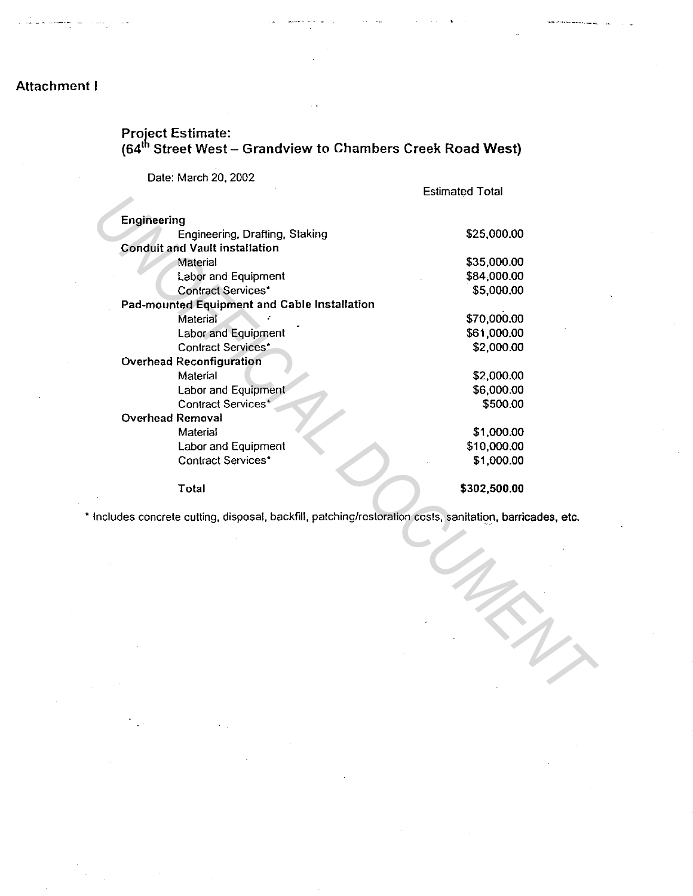# Attachment I

# Project Estimate: (64<sup>th</sup> Street West – Grandview to Chambers Creek Road West)

Date: March 20, 2002

Estimated Total

|                                                                                                         | .            |
|---------------------------------------------------------------------------------------------------------|--------------|
| Engineering                                                                                             |              |
| Engineering, Drafting, Staking                                                                          | \$25,000.00  |
| <b>Conduit and Vault installation</b>                                                                   |              |
| Material                                                                                                | \$35,000.00  |
| Labor and Equipment                                                                                     | \$84,000.00  |
| <b>Contract Services*</b>                                                                               | \$5,000.00   |
| Pad-mounted Equipment and Cable Installation                                                            |              |
| Material                                                                                                | \$70,000.00  |
| Labor and Equipment                                                                                     | \$61,000.00  |
| <b>Contract Services*</b>                                                                               | \$2,000.00   |
| <b>Overhead Reconfiguration</b>                                                                         |              |
| Material                                                                                                | \$2,000.00   |
| Labor and Equipment                                                                                     | \$6,000.00   |
| Contract Services*                                                                                      | \$500.00     |
| <b>Overhead Removal</b>                                                                                 |              |
| Material                                                                                                | \$1,000.00   |
| Labor and Equipment                                                                                     | \$10,000.00  |
| <b>Contract Services*</b>                                                                               | \$1,000.00   |
| Total                                                                                                   | \$302,500.00 |
| Includes concrete cutting, disposal, backfill, patching/restoration costs, sanitation, barricades, etc. |              |
|                                                                                                         |              |